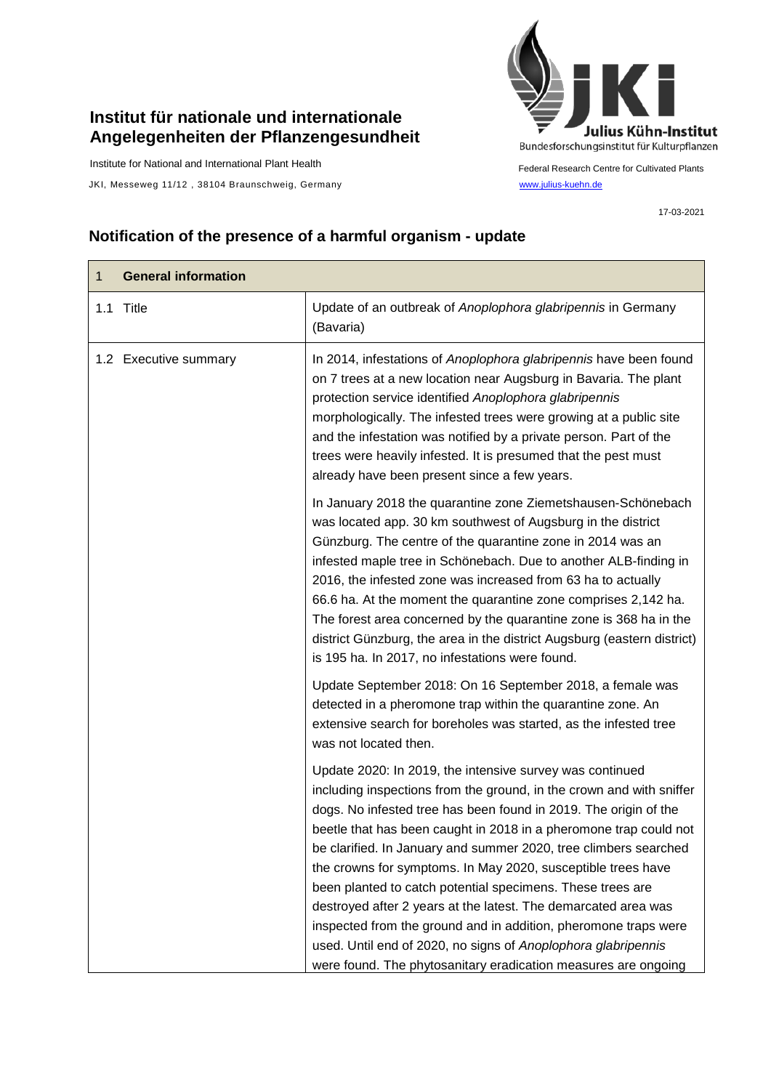## **Institut für nationale und internationale Angelegenheiten der Pflanzengesundheit**

Institute for National and International Plant Health

JKI, Messeweg 11/12, 38104 Braunschweig, Germany [www.julius-kuehn.de](http://www.julius-kuehn.de/)



Federal Research Centre for Cultivated Plants

17-03-2021

## **Notification of the presence of a harmful organism - update**

| 1 | <b>General information</b> |                                                                                                                                                                                                                                                                                                                                                                                                                                                                                                                                                                                                                                                                                                                                                     |
|---|----------------------------|-----------------------------------------------------------------------------------------------------------------------------------------------------------------------------------------------------------------------------------------------------------------------------------------------------------------------------------------------------------------------------------------------------------------------------------------------------------------------------------------------------------------------------------------------------------------------------------------------------------------------------------------------------------------------------------------------------------------------------------------------------|
|   | 1.1 Title                  | Update of an outbreak of Anoplophora glabripennis in Germany<br>(Bavaria)                                                                                                                                                                                                                                                                                                                                                                                                                                                                                                                                                                                                                                                                           |
|   | 1.2 Executive summary      | In 2014, infestations of Anoplophora glabripennis have been found<br>on 7 trees at a new location near Augsburg in Bavaria. The plant<br>protection service identified Anoplophora glabripennis<br>morphologically. The infested trees were growing at a public site<br>and the infestation was notified by a private person. Part of the<br>trees were heavily infested. It is presumed that the pest must<br>already have been present since a few years.                                                                                                                                                                                                                                                                                         |
|   |                            | In January 2018 the quarantine zone Ziemetshausen-Schönebach<br>was located app. 30 km southwest of Augsburg in the district<br>Günzburg. The centre of the quarantine zone in 2014 was an<br>infested maple tree in Schönebach. Due to another ALB-finding in<br>2016, the infested zone was increased from 63 ha to actually<br>66.6 ha. At the moment the quarantine zone comprises 2,142 ha.<br>The forest area concerned by the quarantine zone is 368 ha in the<br>district Günzburg, the area in the district Augsburg (eastern district)<br>is 195 ha. In 2017, no infestations were found.                                                                                                                                                 |
|   |                            | Update September 2018: On 16 September 2018, a female was<br>detected in a pheromone trap within the quarantine zone. An<br>extensive search for boreholes was started, as the infested tree<br>was not located then.                                                                                                                                                                                                                                                                                                                                                                                                                                                                                                                               |
|   |                            | Update 2020: In 2019, the intensive survey was continued<br>including inspections from the ground, in the crown and with sniffer<br>dogs. No infested tree has been found in 2019. The origin of the<br>beetle that has been caught in 2018 in a pheromone trap could not<br>be clarified. In January and summer 2020, tree climbers searched<br>the crowns for symptoms. In May 2020, susceptible trees have<br>been planted to catch potential specimens. These trees are<br>destroyed after 2 years at the latest. The demarcated area was<br>inspected from the ground and in addition, pheromone traps were<br>used. Until end of 2020, no signs of Anoplophora glabripennis<br>were found. The phytosanitary eradication measures are ongoing |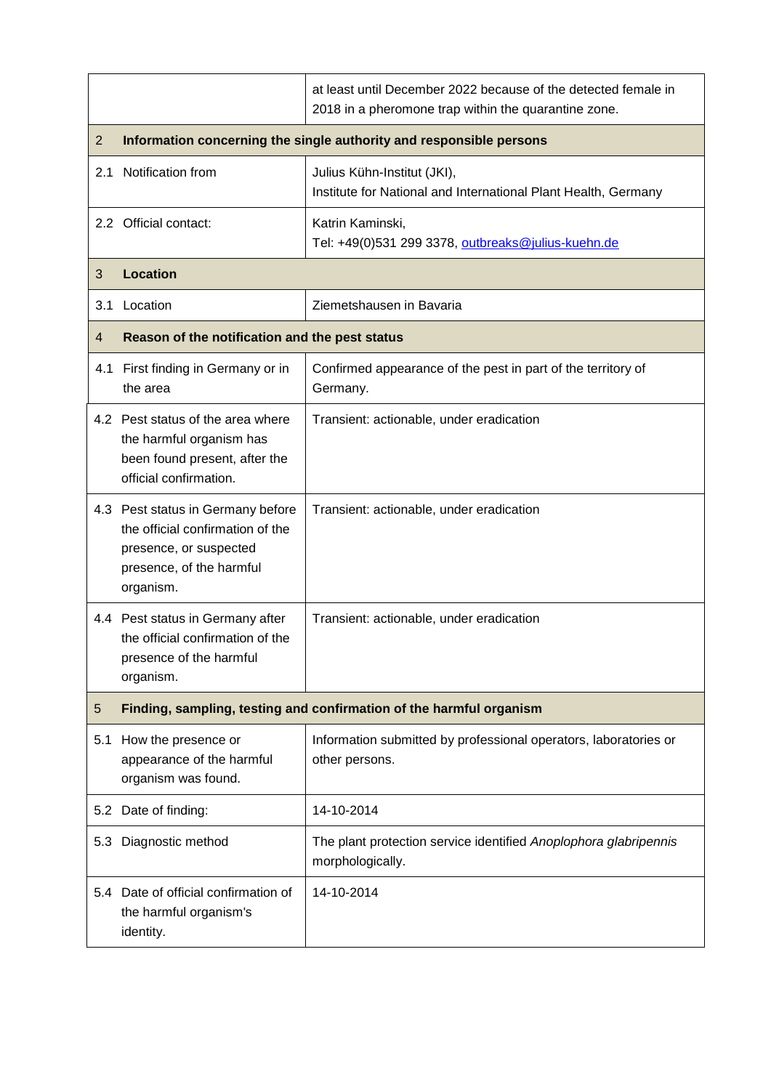|                |                                                                                                                                          | at least until December 2022 because of the detected female in<br>2018 in a pheromone trap within the quarantine zone. |  |
|----------------|------------------------------------------------------------------------------------------------------------------------------------------|------------------------------------------------------------------------------------------------------------------------|--|
| 2              | Information concerning the single authority and responsible persons                                                                      |                                                                                                                        |  |
| 2.1            | Notification from                                                                                                                        | Julius Kühn-Institut (JKI),<br>Institute for National and International Plant Health, Germany                          |  |
|                | 2.2 Official contact:                                                                                                                    | Katrin Kaminski,<br>Tel: +49(0)531 299 3378, outbreaks@julius-kuehn.de                                                 |  |
| 3              | <b>Location</b>                                                                                                                          |                                                                                                                        |  |
| 3.1            | Location                                                                                                                                 | Ziemetshausen in Bavaria                                                                                               |  |
| $\overline{4}$ | Reason of the notification and the pest status                                                                                           |                                                                                                                        |  |
|                | 4.1 First finding in Germany or in<br>the area                                                                                           | Confirmed appearance of the pest in part of the territory of<br>Germany.                                               |  |
|                | 4.2 Pest status of the area where<br>the harmful organism has<br>been found present, after the<br>official confirmation.                 | Transient: actionable, under eradication                                                                               |  |
|                | 4.3 Pest status in Germany before<br>the official confirmation of the<br>presence, or suspected<br>presence, of the harmful<br>organism. | Transient: actionable, under eradication                                                                               |  |
|                | 4.4 Pest status in Germany after<br>the official confirmation of the<br>presence of the harmful<br>organism.                             | Transient: actionable, under eradication                                                                               |  |
| 5              |                                                                                                                                          | Finding, sampling, testing and confirmation of the harmful organism                                                    |  |
| 5.1            | How the presence or<br>appearance of the harmful<br>organism was found.                                                                  | Information submitted by professional operators, laboratories or<br>other persons.                                     |  |
|                | 5.2 Date of finding:                                                                                                                     | 14-10-2014                                                                                                             |  |
| 5.3            | Diagnostic method                                                                                                                        | The plant protection service identified Anoplophora glabripennis<br>morphologically.                                   |  |
|                | 5.4 Date of official confirmation of<br>the harmful organism's<br>identity.                                                              | 14-10-2014                                                                                                             |  |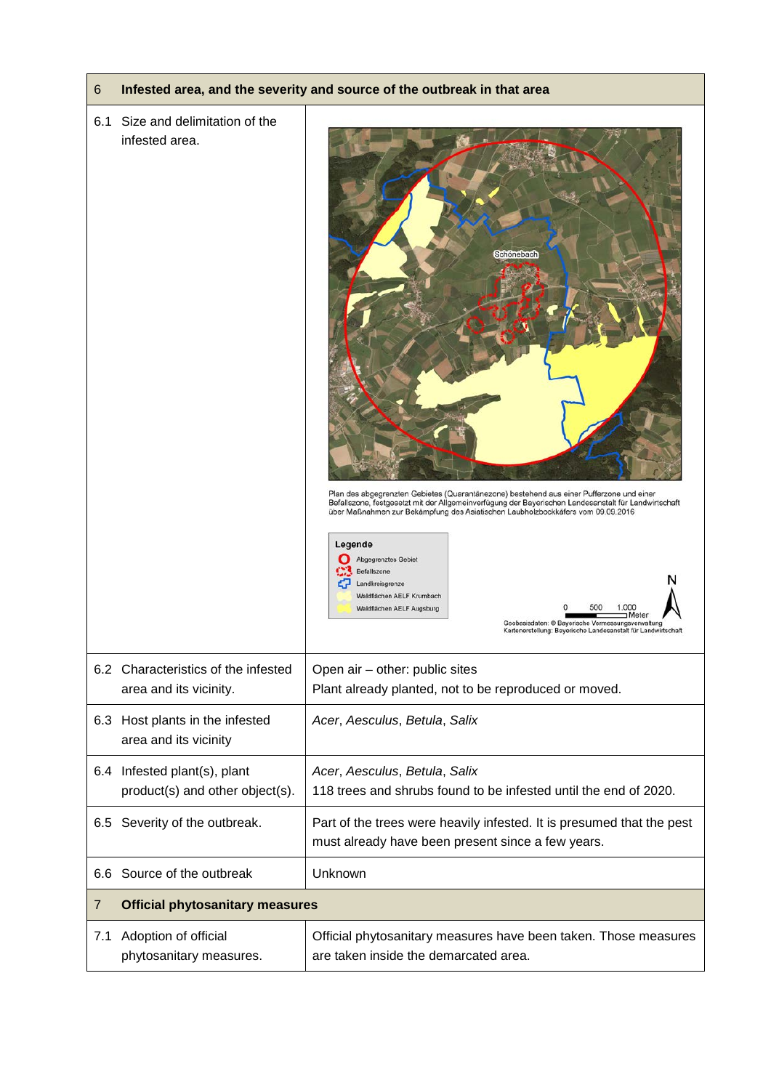| 6   |                                                                 | Infested area, and the severity and source of the outbreak in that area                                                                                                                                                                                                                                                                                                                                                                                                                                                                                                        |
|-----|-----------------------------------------------------------------|--------------------------------------------------------------------------------------------------------------------------------------------------------------------------------------------------------------------------------------------------------------------------------------------------------------------------------------------------------------------------------------------------------------------------------------------------------------------------------------------------------------------------------------------------------------------------------|
| 6.1 | Size and delimitation of the<br>infested area.                  | <b>Schönebach</b><br>Plan des abgegrenzten Gebietes (Quarantänezone) bestehend aus einer Pufferzone und einer<br>Befallszone, festgesetzt mit der Allgemeinverfügung der Bayerischen Landesanstalt für Landwirtschaft<br>über Maßnahmen zur Bekämpfung des Asiatischen Laubholzbockkäfers vom 09.09.2016<br>Legende<br>Abgegrenztes Gebiet<br>Befallszone<br>Landkreisgrenze<br>Waldflächen AELF Krumbach<br>1.000<br>Waldflächen AELF Augsburg<br>Meter<br>Geobasisdaten: © Bayerische Vermessungsverwaltung<br>Kartenerstellung: Bayerische Landesanstalt für Landwirtschaft |
|     | 6.2 Characteristics of the infested<br>area and its vicinity.   | Open air - other: public sites<br>Plant already planted, not to be reproduced or moved.                                                                                                                                                                                                                                                                                                                                                                                                                                                                                        |
|     | 6.3 Host plants in the infested<br>area and its vicinity        | Acer, Aesculus, Betula, Salix                                                                                                                                                                                                                                                                                                                                                                                                                                                                                                                                                  |
|     | 6.4 Infested plant(s), plant<br>product(s) and other object(s). | Acer, Aesculus, Betula, Salix<br>118 trees and shrubs found to be infested until the end of 2020.                                                                                                                                                                                                                                                                                                                                                                                                                                                                              |
|     | 6.5 Severity of the outbreak.                                   | Part of the trees were heavily infested. It is presumed that the pest<br>must already have been present since a few years.                                                                                                                                                                                                                                                                                                                                                                                                                                                     |
|     | 6.6 Source of the outbreak                                      | Unknown                                                                                                                                                                                                                                                                                                                                                                                                                                                                                                                                                                        |
| 7   | <b>Official phytosanitary measures</b>                          |                                                                                                                                                                                                                                                                                                                                                                                                                                                                                                                                                                                |
| 7.1 | Adoption of official<br>phytosanitary measures.                 | Official phytosanitary measures have been taken. Those measures<br>are taken inside the demarcated area.                                                                                                                                                                                                                                                                                                                                                                                                                                                                       |